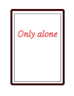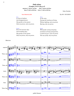# Only alone d major; cis d e fis g a b

soprano; C clef on 1st line, alto; C clef on 3rd line. bass; F clef on 4th line, tenor; C clef on 4th line.

*Yukio Yoshida*

Op.100 05/15/2018

## Voice Words(S,A,T,B)

*First. In times of sadness And disappointment, Stay gently as time passes Only one person, only one person.*

# *Second.*

*Even the lonesome days And trembling days, Stay gently as time passes Only one person, only one person.*

# *Third.*

*In the room, Passing the loneliness of living, Without lighting, only one person Bearing, only one person.*

*Fourth.*

*With people coming and going Loneliness of living and good bye, I could not say it, only one person The way of life, only one person.*

*Moderato*

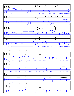

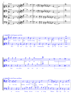





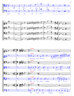



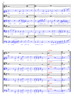



6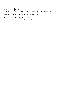About location  $\mathbf{p}$  (longa) and  $\mathbf{p}$  (breve)<br>*Please, Breath of longa and breve do in the members alternating (But, like Don't stand out).* 

At location  $\bigcap$ , *Always, please look at the conductor(or baton).* 

### **About location "Additional performance"**

*Instrument performance; Do not break each part!* (Play freely in each part.)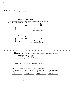Note *(by Yukio Yoshida)*

*Since, this is Sure!(especially; at "Stage Position")*

INSTRUMENT RANGES *About; Some of Instruments; there is a difference between writing-note and real-note. for instance:* **WOODWINDS; Piccolo(in C)** -- like this --  $\bullet$ *sounds [one octave higher](textedit:///mnt/c/yukio/lilypond-ver%23/2016-2019/2018/only-alone/only-alone.ly:233:8:9)*  $\mathbf{\Omega}$  $\overline{\mathbf{o}}$ *[written](textedit:///mnt/c/yukio/lilypond-ver%23/2016-2019/2018/only-alone/only-alone.ly:232:4:5)*  $\pmb{\phi}$  $\bullet$ **Bass Flute** -- like this -- $\sp{\varphi}$  $\bullet$ *sounds [one octave lower](textedit:///mnt/c/yukio/lilypond-ver%23/2016-2019/2018/only-alone/only-alone.ly:249:16:17)*  $\frac{9}{9}$   $\frac{9}{9}$ *[written](textedit:///mnt/c/yukio/lilypond-ver%23/2016-2019/2018/only-alone/only-alone.ly:248:3:4)*  $\overline{\mathbf{e}}$  $\overline{9}$ - - - - - - - - - - - - - - - - - - - - - - - - - - - - - - - - - - - - - - - - - - - - - Stage Position; *(This arrangement--with the instrument needles column below--)* About the Chorus; *(For instsnce* ) [Bass] [Tenor] [Alto] [Soprano

 *since, They must be reverse for Instrument's arrangement* 

 *About Position of Sololist is placed freely(on the stage)* 

About Instrument arrangement; *(must be reverse for Chours's position)*

| Instruments | Instruments | Instruments | Instruments |
|-------------|-------------|-------------|-------------|
| Soprano     | Alto        | Tenor       | <b>Bass</b> |
| Group       | Group       | Group       | Group       |

- - - - - - - - - - - - - - - - - - - - - - - - - - - - - - - - - - - - - - - - - - - - -

Conductor

........... Audience seats ...........

8